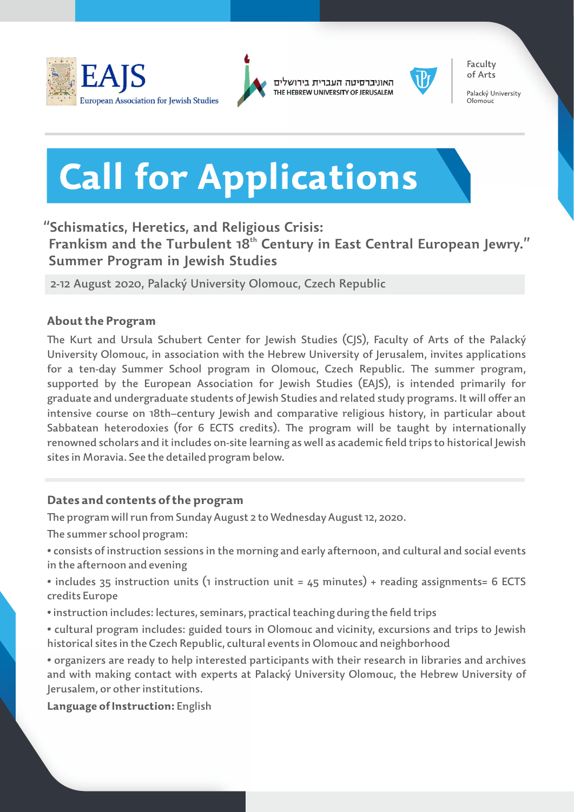



האוניברסיטה העברית בירושלים THE HEBREW UNIVERSITY OF JERUSALEM



of Arts Palacký University

Faculty

Olomouc

# **Call for Applications**

# **"Schismatics, Heretics, and Religious Crisis:**

**frankism and the Turbulent 18<sup>th</sup> Century in East Central European Jewry." Summer Program in Jewish Studies**

2-12 August 2020, Palacký University Olomouc, Czech Republic

## **About the Program**

The Kurt and Ursula Schubert Center for Jewish Studies (CJS), Faculty of Arts of the Palacký University Olomouc, in association with the Hebrew University of Jerusalem, invites applications for a ten-day Summer School program in Olomouc, Czech Republic. The summer program, supported by the European Association for Jewish Studies (EAJS), is intended primarily for graduate and undergraduate students of Jewish Studies and related study programs. It will offer an intensive course on 18th–century Jewish and comparative religious history, in particular about Sabbatean heterodoxies (for 6 ECTS credits). The program will be taught by internationally renowned scholars and it includes on-site learning as well as academic field trips to historical Jewish sites in Moravia. See the detailed program below.

## **Dates and contents of the program**

e program will run from Sunday August 2 to Wednesday August 12, 2020.

The summer school program:

- consists of instruction sessions in the morning and early afternoon, and cultural and social events in the afternoon and evening
- includes 35 instruction units (1 instruction unit = 45 minutes) + reading assignments= 6 ECTS credits Europe
- instruction includes: lectures, seminars, practical teaching during the field trips
- cultural program includes: guided tours in Olomouc and vicinity, excursions and trips to Jewish historical sites in the Czech Republic, cultural events in Olomouc and neighborhood

• organizers are ready to help interested participants with their research in libraries and archives and with making contact with experts at Palacký University Olomouc, the Hebrew University of Jerusalem, or other institutions.

**Language of Instruction:** English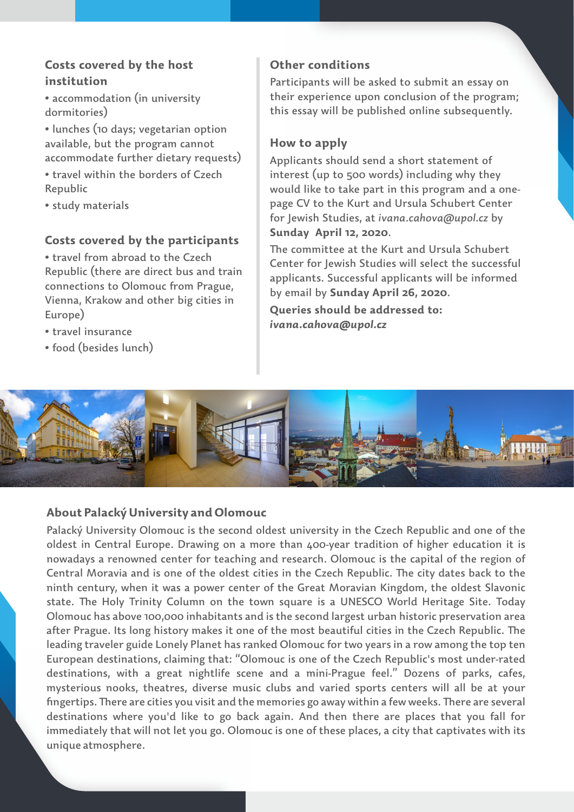## **Costs covered by the host institution**

• accommodation (in university dormitories)

• lunches (10 days; vegetarian option available, but the program cannot accommodate further dietary requests)

- travel within the borders of Czech Republic
- study materials

#### **Costs covered by the participants**

• travel from abroad to the Czech Republic (there are direct bus and train connections to Olomouc from Prague, Vienna, Krakow and other big cities in Europe)

- travel insurance
- food (besides lunch)

## **Other conditions**

Participants will be asked to submit an essay on their experience upon conclusion of the program; this essay will be published online subsequently.

#### **How to apply**

Applicants should send a short statement of interest (up to 500 words) including why they would like to take part in this program and a onepage CV to the Kurt and Ursula Schubert Center for Jewish Studies, at *ivana.cahova@upol.cz* by **Sunday April 12, 2020**.

The committee at the Kurt and Ursula Schubert Center for Jewish Studies will select the successful applicants. Successful applicants will be informed by email by **Sunday April 26, 2020**.

**Queries should be addressed to:**  *ivana.cahova@upol.cz*



#### **About Palacký University and Olomouc**

Palacký University Olomouc is the second oldest university in the Czech Republic and one of the oldest in Central Europe. Drawing on a more than 400-year tradition of higher education it is nowadays a renowned center for teaching and research. Olomouc is the capital of the region of Central Moravia and is one of the oldest cities in the Czech Republic. The city dates back to the ninth century, when it was a power center of the Great Moravian Kingdom, the oldest Slavonic state. The Holy Trinity Column on the town square is a UNESCO World Heritage Site. Today Olomouc has above 100,000 inhabitants and is the second largest urban historic preservation area after Prague. Its long history makes it one of the most beautiful cities in the Czech Republic. The leading traveler guide Lonely Planet has ranked Olomouc for two years in a row among the top ten European destinations, claiming that: "Olomouc is one of the Czech Republic's most under-rated destinations, with a great nightlife scene and a mini-Prague feel." Dozens of parks, cafes, mysterious nooks, theatres, diverse music clubs and varied sports centers will all be at your fingertips. There are cities you visit and the memories go away within a few weeks. There are several destinations where you'd like to go back again. And then there are places that you fall for immediately that will not let you go. Olomouc is one of these places, a city that captivates with its unique atmosphere.